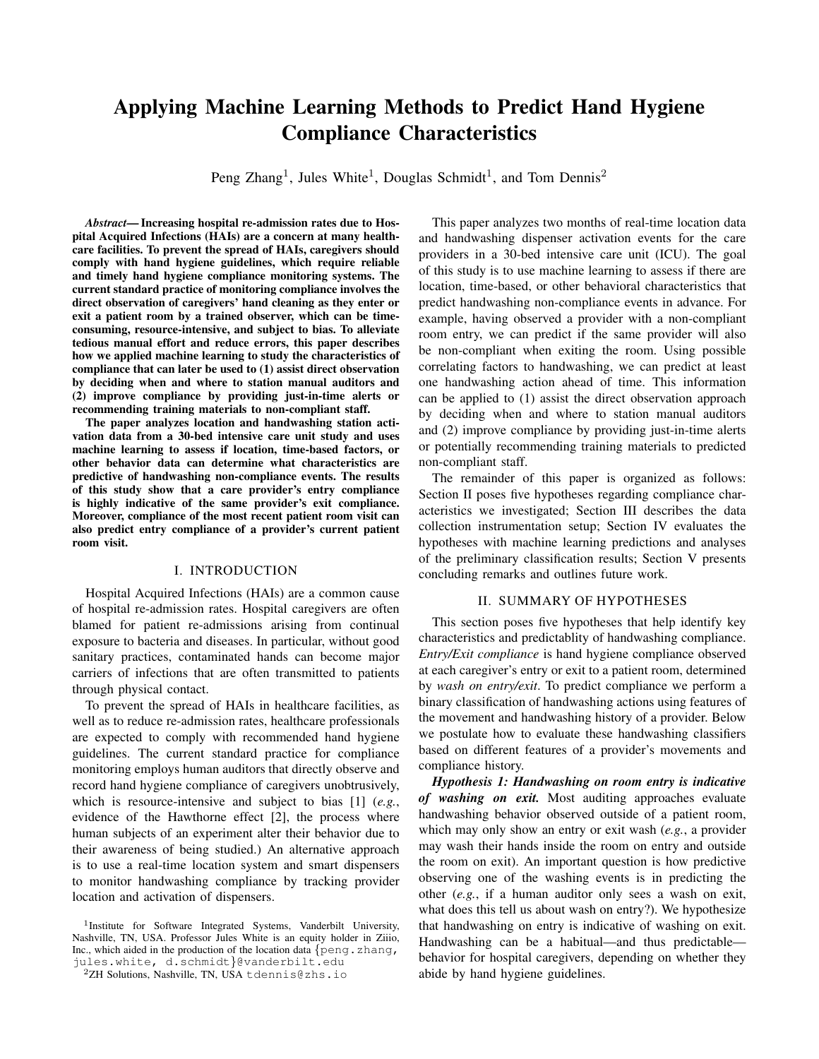# Applying Machine Learning Methods to Predict Hand Hygiene Compliance Characteristics

Peng Zhang<sup>1</sup>, Jules White<sup>1</sup>, Douglas Schmidt<sup>1</sup>, and Tom Dennis<sup>2</sup>

*Abstract*— Increasing hospital re-admission rates due to Hospital Acquired Infections (HAIs) are a concern at many healthcare facilities. To prevent the spread of HAIs, caregivers should comply with hand hygiene guidelines, which require reliable and timely hand hygiene compliance monitoring systems. The current standard practice of monitoring compliance involves the direct observation of caregivers' hand cleaning as they enter or exit a patient room by a trained observer, which can be timeconsuming, resource-intensive, and subject to bias. To alleviate tedious manual effort and reduce errors, this paper describes how we applied machine learning to study the characteristics of compliance that can later be used to (1) assist direct observation by deciding when and where to station manual auditors and (2) improve compliance by providing just-in-time alerts or recommending training materials to non-compliant staff.

The paper analyzes location and handwashing station activation data from a 30-bed intensive care unit study and uses machine learning to assess if location, time-based factors, or other behavior data can determine what characteristics are predictive of handwashing non-compliance events. The results of this study show that a care provider's entry compliance is highly indicative of the same provider's exit compliance. Moreover, compliance of the most recent patient room visit can also predict entry compliance of a provider's current patient room visit.

#### I. INTRODUCTION

Hospital Acquired Infections (HAIs) are a common cause of hospital re-admission rates. Hospital caregivers are often blamed for patient re-admissions arising from continual exposure to bacteria and diseases. In particular, without good sanitary practices, contaminated hands can become major carriers of infections that are often transmitted to patients through physical contact.

To prevent the spread of HAIs in healthcare facilities, as well as to reduce re-admission rates, healthcare professionals are expected to comply with recommended hand hygiene guidelines. The current standard practice for compliance monitoring employs human auditors that directly observe and record hand hygiene compliance of caregivers unobtrusively, which is resource-intensive and subject to bias [1] (*e.g.*, evidence of the Hawthorne effect [2], the process where human subjects of an experiment alter their behavior due to their awareness of being studied.) An alternative approach is to use a real-time location system and smart dispensers to monitor handwashing compliance by tracking provider location and activation of dispensers.

This paper analyzes two months of real-time location data and handwashing dispenser activation events for the care providers in a 30-bed intensive care unit (ICU). The goal of this study is to use machine learning to assess if there are location, time-based, or other behavioral characteristics that predict handwashing non-compliance events in advance. For example, having observed a provider with a non-compliant room entry, we can predict if the same provider will also be non-compliant when exiting the room. Using possible correlating factors to handwashing, we can predict at least one handwashing action ahead of time. This information can be applied to (1) assist the direct observation approach by deciding when and where to station manual auditors and (2) improve compliance by providing just-in-time alerts or potentially recommending training materials to predicted non-compliant staff.

The remainder of this paper is organized as follows: Section II poses five hypotheses regarding compliance characteristics we investigated; Section III describes the data collection instrumentation setup; Section IV evaluates the hypotheses with machine learning predictions and analyses of the preliminary classification results; Section V presents concluding remarks and outlines future work.

#### II. SUMMARY OF HYPOTHESES

This section poses five hypotheses that help identify key characteristics and predictablity of handwashing compliance. *Entry/Exit compliance* is hand hygiene compliance observed at each caregiver's entry or exit to a patient room, determined by *wash on entry/exit*. To predict compliance we perform a binary classification of handwashing actions using features of the movement and handwashing history of a provider. Below we postulate how to evaluate these handwashing classifiers based on different features of a provider's movements and compliance history.

*Hypothesis 1: Handwashing on room entry is indicative of washing on exit.* Most auditing approaches evaluate handwashing behavior observed outside of a patient room, which may only show an entry or exit wash (*e.g.*, a provider may wash their hands inside the room on entry and outside the room on exit). An important question is how predictive observing one of the washing events is in predicting the other (*e.g.*, if a human auditor only sees a wash on exit, what does this tell us about wash on entry?). We hypothesize that handwashing on entry is indicative of washing on exit. Handwashing can be a habitual—and thus predictable behavior for hospital caregivers, depending on whether they abide by hand hygiene guidelines.

<sup>&</sup>lt;sup>1</sup>Institute for Software Integrated Systems, Vanderbilt University, Nashville, TN, USA. Professor Jules White is an equity holder in Ziiio, Inc., which aided in the production of the location data  $\{peng.zhang,$ jules.white, d.schmidt}@vanderbilt.edu

<sup>2</sup>ZH Solutions, Nashville, TN, USA tdennis@zhs.io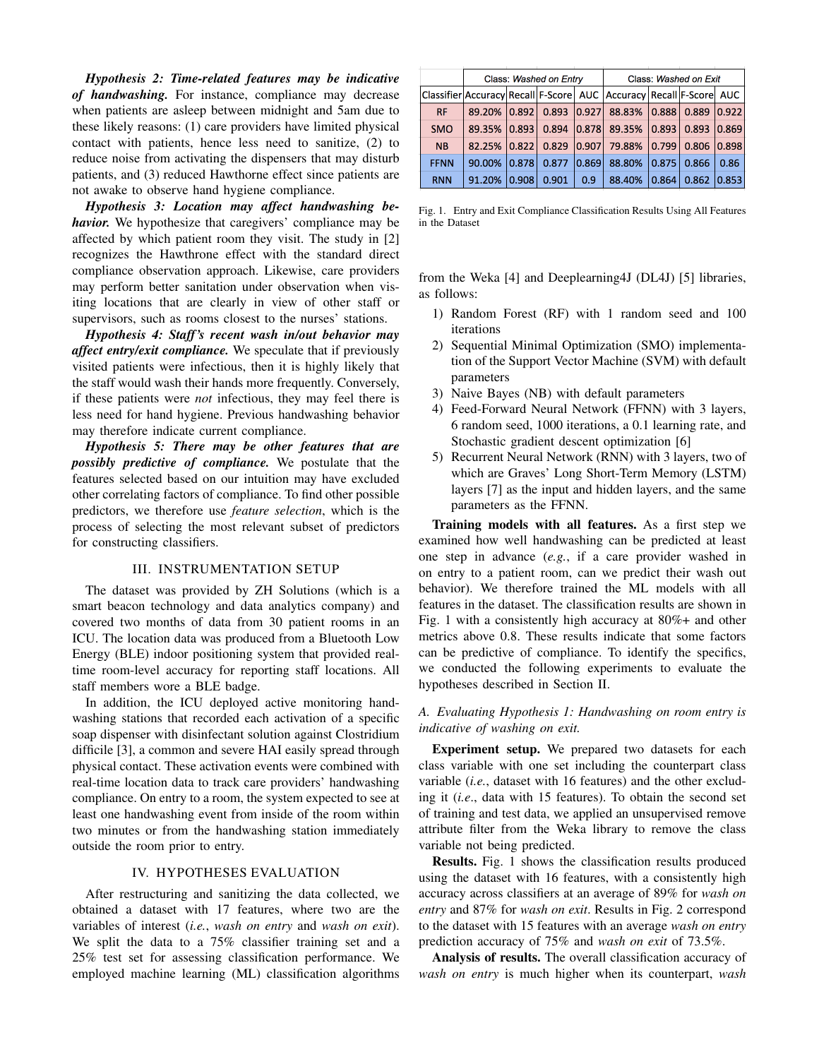*Hypothesis 2: Time-related features may be indicative of handwashing.* For instance, compliance may decrease when patients are asleep between midnight and 5am due to these likely reasons: (1) care providers have limited physical contact with patients, hence less need to sanitize, (2) to reduce noise from activating the dispensers that may disturb patients, and (3) reduced Hawthorne effect since patients are not awake to observe hand hygiene compliance.

*Hypothesis 3: Location may affect handwashing behavior.* We hypothesize that caregivers' compliance may be affected by which patient room they visit. The study in [2] recognizes the Hawthrone effect with the standard direct compliance observation approach. Likewise, care providers may perform better sanitation under observation when visiting locations that are clearly in view of other staff or supervisors, such as rooms closest to the nurses' stations.

*Hypothesis 4: Staff's recent wash in/out behavior may affect entry/exit compliance.* We speculate that if previously visited patients were infectious, then it is highly likely that the staff would wash their hands more frequently. Conversely, if these patients were *not* infectious, they may feel there is less need for hand hygiene. Previous handwashing behavior may therefore indicate current compliance.

*Hypothesis 5: There may be other features that are possibly predictive of compliance.* We postulate that the features selected based on our intuition may have excluded other correlating factors of compliance. To find other possible predictors, we therefore use *feature selection*, which is the process of selecting the most relevant subset of predictors for constructing classifiers.

#### III. INSTRUMENTATION SETUP

The dataset was provided by ZH Solutions (which is a smart beacon technology and data analytics company) and covered two months of data from 30 patient rooms in an ICU. The location data was produced from a Bluetooth Low Energy (BLE) indoor positioning system that provided realtime room-level accuracy for reporting staff locations. All staff members wore a BLE badge.

In addition, the ICU deployed active monitoring handwashing stations that recorded each activation of a specific soap dispenser with disinfectant solution against Clostridium difficile [3], a common and severe HAI easily spread through physical contact. These activation events were combined with real-time location data to track care providers' handwashing compliance. On entry to a room, the system expected to see at least one handwashing event from inside of the room within two minutes or from the handwashing station immediately outside the room prior to entry.

## IV. HYPOTHESES EVALUATION

After restructuring and sanitizing the data collected, we obtained a dataset with 17 features, where two are the variables of interest (*i.e.*, *wash on entry* and *wash on exit*). We split the data to a 75% classifier training set and a 25% test set for assessing classification performance. We employed machine learning (ML) classification algorithms

|             | Class: Washed on Entry |       |       |       | Class: Washed on Exit                                                 |       |       |       |
|-------------|------------------------|-------|-------|-------|-----------------------------------------------------------------------|-------|-------|-------|
|             |                        |       |       |       | Classifier Accuracy Recall F-Score  AUC  Accuracy Recall F-Score  AUC |       |       |       |
| <b>RF</b>   | 89.20%                 | 0.892 |       |       | $0.893$ $ 0.927 $ 88.83%                                              | 0.888 | 0.889 | 0.922 |
| <b>SMO</b>  | 89.35%                 | 0.893 | 0.894 |       | $ 0.878 $ 89.35%                                                      | 0.893 | 0.893 | 0.869 |
| <b>NB</b>   | 82.25%                 | 0.822 | 0.829 |       | $ 0.907 $ 79.88%                                                      | 0.799 | 0.806 | 0.898 |
| <b>FFNN</b> | 90.00%                 | 0.878 | 0.877 | 0.869 | 88.80%                                                                | 0.875 | 0.866 | 0.86  |
| <b>RNN</b>  | 91.20%                 | 0.908 | 0.901 | 0.9   | 88.40%                                                                | 0.864 | 0.862 | 0.853 |

Fig. 1. Entry and Exit Compliance Classification Results Using All Features in the Dataset

from the Weka [4] and Deeplearning4J (DL4J) [5] libraries, as follows:

- 1) Random Forest (RF) with 1 random seed and 100 iterations
- 2) Sequential Minimal Optimization (SMO) implementation of the Support Vector Machine (SVM) with default parameters
- 3) Naive Bayes (NB) with default parameters
- 4) Feed-Forward Neural Network (FFNN) with 3 layers, 6 random seed, 1000 iterations, a 0.1 learning rate, and Stochastic gradient descent optimization [6]
- 5) Recurrent Neural Network (RNN) with 3 layers, two of which are Graves' Long Short-Term Memory (LSTM) layers [7] as the input and hidden layers, and the same parameters as the FFNN.

Training models with all features. As a first step we examined how well handwashing can be predicted at least one step in advance (*e.g.*, if a care provider washed in on entry to a patient room, can we predict their wash out behavior). We therefore trained the ML models with all features in the dataset. The classification results are shown in Fig. 1 with a consistently high accuracy at 80%+ and other metrics above 0.8. These results indicate that some factors can be predictive of compliance. To identify the specifics, we conducted the following experiments to evaluate the hypotheses described in Section II.

# *A. Evaluating Hypothesis 1: Handwashing on room entry is indicative of washing on exit.*

Experiment setup. We prepared two datasets for each class variable with one set including the counterpart class variable (*i.e.*, dataset with 16 features) and the other excluding it (*i.e*., data with 15 features). To obtain the second set of training and test data, we applied an unsupervised remove attribute filter from the Weka library to remove the class variable not being predicted.

Results. Fig. 1 shows the classification results produced using the dataset with 16 features, with a consistently high accuracy across classifiers at an average of 89% for *wash on entry* and 87% for *wash on exit*. Results in Fig. 2 correspond to the dataset with 15 features with an average *wash on entry* prediction accuracy of 75% and *wash on exit* of 73.5%.

Analysis of results. The overall classification accuracy of *wash on entry* is much higher when its counterpart, *wash*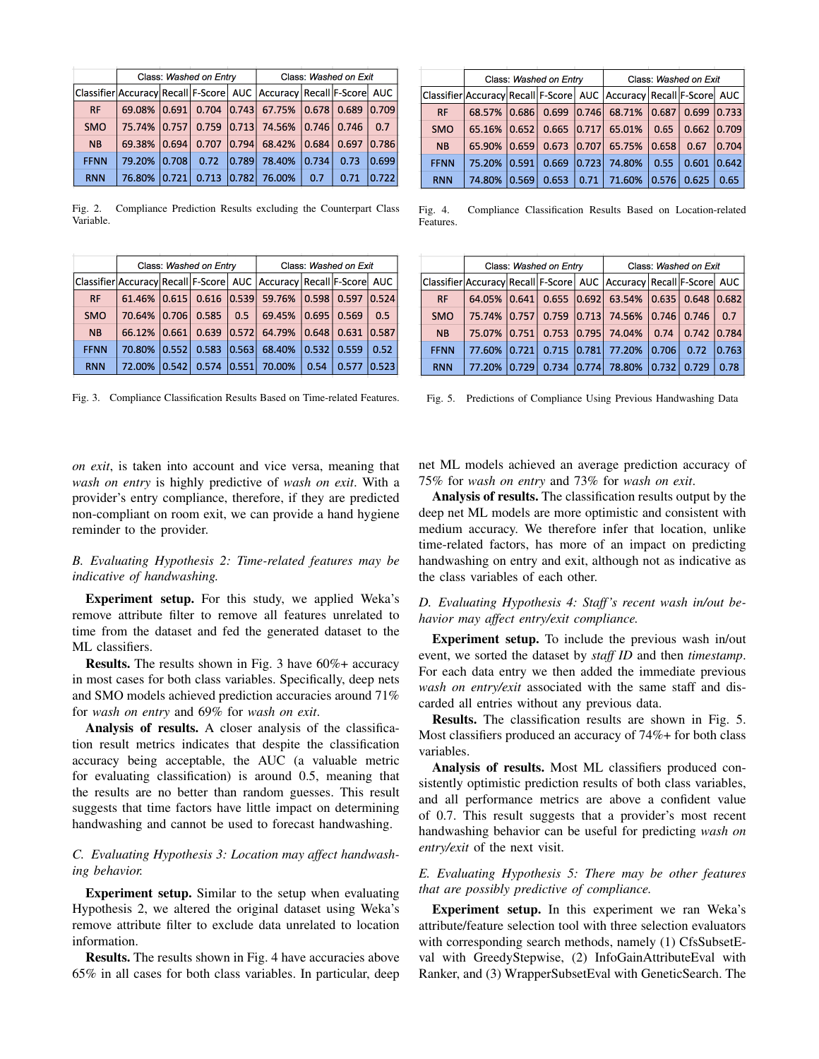|             | Class: Washed on Entry |       |  |  | Class: Washed on Exit                                                       |     |      |       |
|-------------|------------------------|-------|--|--|-----------------------------------------------------------------------------|-----|------|-------|
|             |                        |       |  |  | Classifier Accuracy Recall F-Score   AUC  Accuracy   Recall   F-Score   AUC |     |      |       |
| <b>RF</b>   |                        |       |  |  | 69.08% 0.691 0.704 0.743 67.75% 0.678 0.689 0.709                           |     |      |       |
| <b>SMO</b>  |                        |       |  |  | 75.74% 0.757 0.759 0.713 74.56% 0.746 0.746                                 |     |      | 0.7   |
| <b>NB</b>   |                        |       |  |  | 69.38% 0.694 0.707 0.794 68.42% 0.684 0.697 0.786                           |     |      |       |
| <b>FFNN</b> | 79.20% 0.708           |       |  |  | $0.72$ $ 0.789$ 78.40% $ 0.734 $                                            |     | 0.73 | 0.699 |
| <b>RNN</b>  | 76.80%                 | 0.721 |  |  | $0.713$ $ 0.782 $ 76.00%                                                    | 0.7 | 0.71 | 0.722 |

Fig. 2. Compliance Prediction Results excluding the Counterpart Class Variable.

|             | Class: Washed on Entry |       |       |  | Class: Washed on Exit                                                          |              |       |       |
|-------------|------------------------|-------|-------|--|--------------------------------------------------------------------------------|--------------|-------|-------|
|             |                        |       |       |  | Classifier Accuracy  Recall  F-Score   AUC   Accuracy   Recall   F-Score   AUC |              |       |       |
| <b>RF</b>   |                        |       |       |  | 61.46% 0.615 0.616 0.539 59.76% 0.598 0.597 0.524                              |              |       |       |
| <b>SMO</b>  | 70.64% 0.706           |       | 0.585 |  | $0.5$   69.45%   0.695   0.569                                                 |              |       | 0.5   |
| <b>NB</b>   | 66.12% 0.661           |       |       |  | $0.639$ $ 0.572 $ 64.79% $ 0.648 $ 0.631 $ 0.587 $                             |              |       |       |
| <b>FFNN</b> | 70.80%                 | 0.552 |       |  | 0.583 0.563 68.40%                                                             | 0.532        | 0.559 | 0.52  |
| <b>RNN</b>  | 72.00%                 | 0.542 | 0.574 |  | 0.551 70.00%                                                                   | $\vert 0.54$ | 0.577 | 0.523 |

Fig. 3. Compliance Classification Results Based on Time-related Features.

|             | Class: Washed on Entry |       |       |       | Class: Washed on Exit                                                        |       |                  |       |
|-------------|------------------------|-------|-------|-------|------------------------------------------------------------------------------|-------|------------------|-------|
|             |                        |       |       |       | Classifier Accuracy Recall F-Score   AUC   Accuracy   Recall   F-Score   AUC |       |                  |       |
| <b>RF</b>   | 68.57% 0.686           |       |       |       | $0.699$ $ 0.746 $ 68.71% $ 0.687 $                                           |       | $0.699$ $ 0.733$ |       |
| <b>SMO</b>  | 65.16% 0.652           |       |       |       | $0.665$ $ 0.717 $ 65.01% $ $                                                 | 0.65  | $0.662$ 0.709    |       |
| <b>NB</b>   | 65.90% 0.659           |       |       |       | $0.673$ $ 0.707 $ 65.75%                                                     | 0.658 | 0.67             | 0.704 |
| <b>FFNN</b> | 75.20% 0.591           |       | 0.669 | 0.723 | 74.80%                                                                       | 0.55  | 0.601            | 0.642 |
| <b>RNN</b>  | 74.80%                 | 0.569 | 0.653 |       | $0.71$   71.60%                                                              | 0.576 | 0.625            | 0.65  |

Fig. 4. Compliance Classification Results Based on Location-related Features.

|             | Class: Washed on Entry |       |       |  | Class: Washed on Exit                                                 |           |             |        |  |
|-------------|------------------------|-------|-------|--|-----------------------------------------------------------------------|-----------|-------------|--------|--|
|             |                        |       |       |  | Classifier Accuracy Recall F-Score  AUC  Accuracy Recall F-Score  AUC |           |             |        |  |
| <b>RF</b>   |                        |       |       |  | 64.05% 0.641 0.655 0.692 63.54% 0.635 0.648 0.682                     |           |             |        |  |
| <b>SMO</b>  |                        |       |       |  | 75.74% 0.757 0.759 0.713 74.56%                                       |           | 0.746 0.746 | 0.7    |  |
| <b>NB</b>   | 75.07% 0.751           |       |       |  | 0.753 0.795 74.04%                                                    | 0.74      | 0.742 0.784 |        |  |
| <b>FFNN</b> | 77.60%                 | 0.721 |       |  | 0.715 0.781 77.20%                                                    | l 0.706 l | 0.72        | 10.763 |  |
| <b>RNN</b>  | 77.20%                 | 0.729 | 0.734 |  | 0.774  78.80%                                                         | 0.732     | 0.729       | 0.78   |  |

Fig. 5. Predictions of Compliance Using Previous Handwashing Data

*on exit*, is taken into account and vice versa, meaning that *wash on entry* is highly predictive of *wash on exit*. With a provider's entry compliance, therefore, if they are predicted non-compliant on room exit, we can provide a hand hygiene reminder to the provider.

## *B. Evaluating Hypothesis 2: Time-related features may be indicative of handwashing.*

Experiment setup. For this study, we applied Weka's remove attribute filter to remove all features unrelated to time from the dataset and fed the generated dataset to the ML classifiers.

Results. The results shown in Fig. 3 have 60%+ accuracy in most cases for both class variables. Specifically, deep nets and SMO models achieved prediction accuracies around 71% for *wash on entry* and 69% for *wash on exit*.

Analysis of results. A closer analysis of the classification result metrics indicates that despite the classification accuracy being acceptable, the AUC (a valuable metric for evaluating classification) is around 0.5, meaning that the results are no better than random guesses. This result suggests that time factors have little impact on determining handwashing and cannot be used to forecast handwashing.

## *C. Evaluating Hypothesis 3: Location may affect handwashing behavior.*

Experiment setup. Similar to the setup when evaluating Hypothesis 2, we altered the original dataset using Weka's remove attribute filter to exclude data unrelated to location information.

Results. The results shown in Fig. 4 have accuracies above 65% in all cases for both class variables. In particular, deep net ML models achieved an average prediction accuracy of 75% for *wash on entry* and 73% for *wash on exit*.

Analysis of results. The classification results output by the deep net ML models are more optimistic and consistent with medium accuracy. We therefore infer that location, unlike time-related factors, has more of an impact on predicting handwashing on entry and exit, although not as indicative as the class variables of each other.

# *D. Evaluating Hypothesis 4: Staff 's recent wash in/out behavior may affect entry/exit compliance.*

Experiment setup. To include the previous wash in/out event, we sorted the dataset by *staff ID* and then *timestamp*. For each data entry we then added the immediate previous *wash on entry/exit* associated with the same staff and discarded all entries without any previous data.

Results. The classification results are shown in Fig. 5. Most classifiers produced an accuracy of 74%+ for both class variables.

Analysis of results. Most ML classifiers produced consistently optimistic prediction results of both class variables, and all performance metrics are above a confident value of 0.7. This result suggests that a provider's most recent handwashing behavior can be useful for predicting *wash on entry/exit* of the next visit.

# *E. Evaluating Hypothesis 5: There may be other features that are possibly predictive of compliance.*

Experiment setup. In this experiment we ran Weka's attribute/feature selection tool with three selection evaluators with corresponding search methods, namely (1) CfsSubsetEval with GreedyStepwise, (2) InfoGainAttributeEval with Ranker, and (3) WrapperSubsetEval with GeneticSearch. The